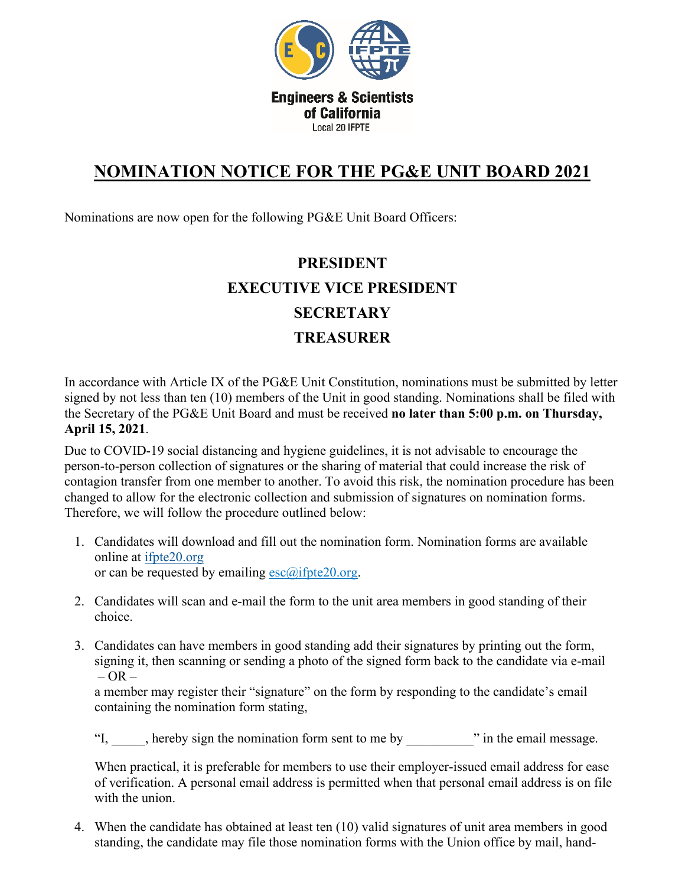

## **NOMINATION NOTICE FOR THE PG&E UNIT BOARD 2021**

Nominations are now open for the following PG&E Unit Board Officers:

## **PRESIDENT EXECUTIVE VICE PRESIDENT SECRETARY TREASURER**

In accordance with Article IX of the PG&E Unit Constitution, nominations must be submitted by letter signed by not less than ten (10) members of the Unit in good standing. Nominations shall be filed with the Secretary of the PG&E Unit Board and must be received **no later than 5:00 p.m. on Thursday, April 15, 2021**.

Due to COVID-19 social distancing and hygiene guidelines, it is not advisable to encourage the person-to-person collection of signatures or the sharing of material that could increase the risk of contagion transfer from one member to another. To avoid this risk, the nomination procedure has been changed to allow for the electronic collection and submission of signatures on nomination forms. Therefore, we will follow the procedure outlined below:

- 1. Candidates will download and fill out the nomination form. Nomination forms are available online at [ifpte20.org](http://www.ifpte20.org/) or can be requested by emailing  $\text{esc}(\hat{\omega})$  if pte20.org.
- 2. Candidates will scan and e-mail the form to the unit area members in good standing of their choice.
- 3. Candidates can have members in good standing add their signatures by printing out the form, signing it, then scanning or sending a photo of the signed form back to the candidate via e-mail  $-$  OR  $-$

a member may register their "signature" on the form by responding to the candidate's email containing the nomination form stating,

"I, \_\_\_\_\_, hereby sign the nomination form sent to me by \_\_\_\_\_\_\_\_\_\_\_" in the email message.

When practical, it is preferable for members to use their employer-issued email address for ease of verification. A personal email address is permitted when that personal email address is on file with the union.

4. When the candidate has obtained at least ten (10) valid signatures of unit area members in good standing, the candidate may file those nomination forms with the Union office by mail, hand-